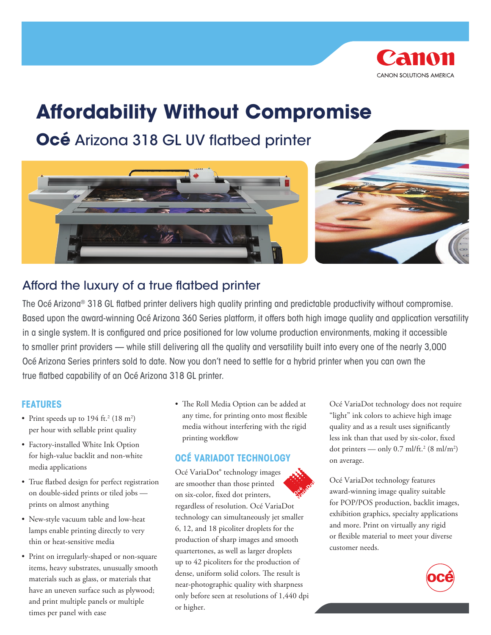

# **Affordability Without Compromise**

**Océ** Arizona 318 GL UV flatbed printer





# Afford the luxury of a true flatbed printer

The Océ Arizona® 318 GL flatbed printer delivers high quality printing and predictable productivity without compromise. Based upon the award-winning Océ Arizona 360 Series platform, it offers both high image quality and application versatility in a single system. It is configured and price positioned for low volume production environments, making it accessible to smaller print providers — while still delivering all the quality and versatility built into every one of the nearly 3,000 Océ Arizona Series printers sold to date. Now you don't need to settle for a hybrid printer when you can own the true flatbed capability of an Océ Arizona 318 GL printer.

#### **Features**

- Print speeds up to  $194$  ft.<sup>2</sup> ( $18 \text{ m}^2$ ) per hour with sellable print quality
- Factory-installed White Ink Option for high-value backlit and non-white media applications
- True flatbed design for perfect registration on double-sided prints or tiled jobs prints on almost anything
- New-style vacuum table and low-heat lamps enable printing directly to very thin or heat-sensitive media
- Print on irregularly-shaped or non-square items, heavy substrates, unusually smooth materials such as glass, or materials that have an uneven surface such as plywood; and print multiple panels or multiple times per panel with ease

• The Roll Media Option can be added at any time, for printing onto most flexible media without interfering with the rigid printing workflow

### **Océ VariaDot technology**

Océ VariaDot® technology images are smoother than those printed on six-color, fixed dot printers, regardless of resolution. Océ VariaDot technology can simultaneously jet smaller 6, 12, and 18 picoliter droplets for the production of sharp images and smooth quartertones, as well as larger droplets up to 42 picoliters for the production of dense, uniform solid colors. The result is near-photographic quality with sharpness only before seen at resolutions of 1,440 dpi or higher.

Océ VariaDot technology does not require "light" ink colors to achieve high image quality and as a result uses significantly less ink than that used by six-color, fixed dot printers — only 0.7 ml/ft.<sup>2</sup> (8 ml/m<sup>2</sup>) on average.

Océ VariaDot technology features award-winning image quality suitable for POP/POS production, backlit images, exhibition graphics, specialty applications and more. Print on virtually any rigid or flexible material to meet your diverse customer needs.